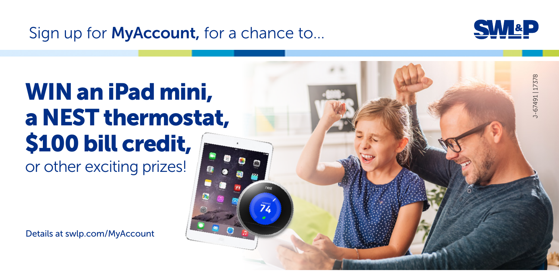Sign up for **MyAccount**, for a chance to...



# WIN an iPad mini, a NEST thermostat, \$100 bill credit, or other exciting prizes!

Details at swlp.com/MyAccount